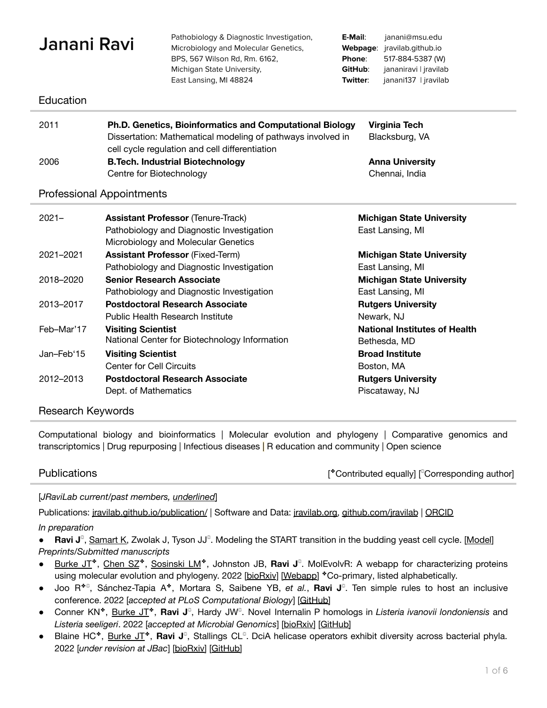| Janani Ravi<br>Education         |                                                                                                                                                                                                                     | Pathobiology & Diagnostic Investigation,<br>Microbiology and Molecular Genetics,<br>BPS, 567 Wilson Rd, Rm. 6162,<br>Michigan State University,<br>East Lansing, MI 48824 | E-Mail:<br>Webpage:<br>Phone:<br>GitHub:<br>Twitter: | janani@msu.edu<br>jravilab.github.io<br>517-884-5387 (W)<br>jananiravi   jravilab<br>janani137   jravilab |  |
|----------------------------------|---------------------------------------------------------------------------------------------------------------------------------------------------------------------------------------------------------------------|---------------------------------------------------------------------------------------------------------------------------------------------------------------------------|------------------------------------------------------|-----------------------------------------------------------------------------------------------------------|--|
| 2011                             | Ph.D. Genetics, Bioinformatics and Computational Biology<br><b>Virginia Tech</b><br>Dissertation: Mathematical modeling of pathways involved in<br>Blacksburg, VA<br>cell cycle regulation and cell differentiation |                                                                                                                                                                           |                                                      |                                                                                                           |  |
| 2006                             | <b>B.Tech. Industrial Biotechnology</b><br>Centre for Biotechnology                                                                                                                                                 |                                                                                                                                                                           |                                                      | <b>Anna University</b><br>Chennai, India                                                                  |  |
| <b>Professional Appointments</b> |                                                                                                                                                                                                                     |                                                                                                                                                                           |                                                      |                                                                                                           |  |
| $2021 -$                         | <b>Assistant Professor (Tenure-Track)</b><br>Pathobiology and Diagnostic Investigation<br>Microbiology and Molecular Genetics                                                                                       |                                                                                                                                                                           | <b>Michigan State University</b><br>East Lansing, MI |                                                                                                           |  |
| 2021-2021                        |                                                                                                                                                                                                                     | <b>Assistant Professor (Fixed-Term)</b><br>Pathobiology and Diagnostic Investigation                                                                                      |                                                      | <b>Michigan State University</b><br>East Lansing, MI                                                      |  |
| 2018-2020                        | <b>Senior Research Associate</b>                                                                                                                                                                                    | Pathobiology and Diagnostic Investigation                                                                                                                                 |                                                      | <b>Michigan State University</b><br>East Lansing, MI                                                      |  |
| 2013-2017                        |                                                                                                                                                                                                                     | <b>Postdoctoral Research Associate</b><br><b>Public Health Research Institute</b>                                                                                         |                                                      | <b>Rutgers University</b><br>Newark, NJ                                                                   |  |
| Feb-Mar'17                       | <b>Visiting Scientist</b>                                                                                                                                                                                           | National Center for Biotechnology Information                                                                                                                             |                                                      | <b>National Institutes of Health</b><br>Bethesda, MD                                                      |  |
| Jan-Feb'15                       | <b>Visiting Scientist</b><br><b>Center for Cell Circuits</b>                                                                                                                                                        |                                                                                                                                                                           |                                                      | <b>Broad Institute</b><br>Boston, MA                                                                      |  |
| 2012-2013                        | Dept. of Mathematics                                                                                                                                                                                                | <b>Postdoctoral Research Associate</b>                                                                                                                                    |                                                      | <b>Rutgers University</b><br>Piscataway, NJ                                                               |  |

# Research Keywords

Computational biology and bioinformatics | Molecular evolution and phylogeny | Comparative genomics and transcriptomics | Drug repurposing | Infectious diseases | R education and community | Open science

Publications **Example 2 Contributed equally** [<sup>®</sup>Corresponding author]

[*JRaviLab current/past members, underlined*]

Publications: [jravilab.github.io/publication/](https://jravilab.github.io/publication/) | Software and Data: [jravilab.org,](http://www.jravilab.org/) [github.com/jravilab](https://github.com/JRaviLab) | [ORCID](https://orcid.org/0000-0001-7443-925X)

# *In preparation*

**• Ravi J**<sup>©</sup>, Samart K, Zwolak J, Tyson JJ<sup>©</sup>. Modeling the START transition in the budding yeast cell cycle. [\[Model](http://sbmlsimulator.org/simulator/by-start)] *Preprints/Submitted manuscripts*

- Burke JT<sup>\*</sup>, Chen SZ<sup>\*</sup>, Sosinski LM<sup>\*</sup>, Johnston JB, Ravi J<sup>©</sup>. MolEvolvR: A webapp for characterizing proteins using molecular evolution and phylogeny. 2022 [\[bioRxiv](https://doi.org/10.1101/2022.02.18.461833)] [\[Webapp\]](http://jravilab.org/molevolvr) \*Co-primary, listed alphabetically.
- Joo R<sup>\*</sup><sup>©</sup>, Sánchez-Tapia A<sup>\*</sup>, Mortara S, Saibene YB, et al., **Ravi J**<sup>©</sup>. Ten simple rules to host an inclusive conference. 2022 [*accepted at PLoS Computational Biology*] [[GitHub\]](https://github.com/jananiravi/Ten-simple-rules-inclusive-conference)
- Conner KN<sup>\*</sup>, **Burke JT<sup>\*</sup>, Ravi J**<sup>©</sup>, Hardy JW<sup>©</sup>. Novel Internalin P homologs in Listeria *ivanovii londoniensis* and *Listeria seeligeri*. 2022 [*accepted at Microbial Genomics*] [[bioRxiv\]](https://doi.org/10.1101/2022.01.19.476994) [[GitHub\]](https://github.com/JRaviLab/inlp_listeria)
- Blaine HC<sup>\*</sup>, Burke JT<sup>\*</sup>, **Ravi J**<sup>©</sup>, Stallings CL<sup>©</sup>. DciA helicase operators exhibit diversity across bacterial phyla. 2022 [*under revision at JBac*] [[bioRxiv\]](https://doi.org/10.1101/2022.01.24.477630) [[GitHub\]](https://github.com/JRaviLab/dcia_evolution)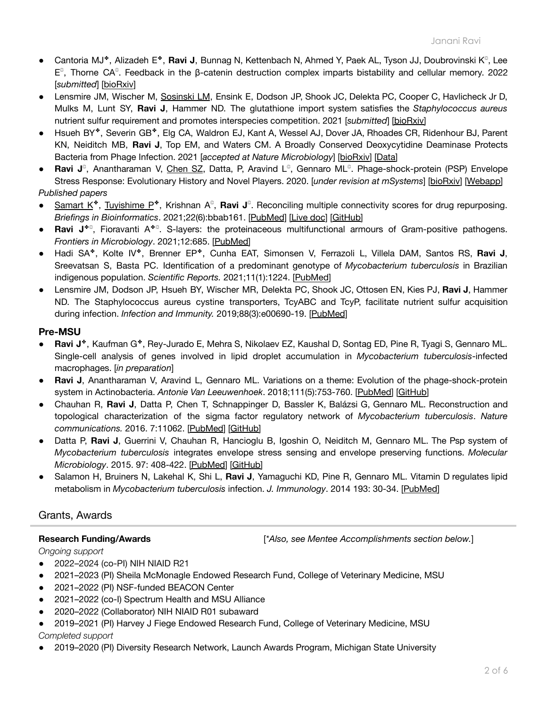- Cantoria MJ<sup>\*</sup>, Alizadeh E<sup>\*</sup>, **Ravi J**, Bunnag N, Kettenbach N, Ahmed Y, Paek AL, Tyson JJ, Doubrovinski K<sup>©</sup>, Lee E ℂ , Thorne CA ℂ . Feedback in the β-catenin destruction complex imparts bistability and cellular memory. 2022 [*submitted*] [\[bioRxiv](https://doi.org/10.1101/2022.01.28.478206)]
- Lensmire JM, Wischer M, Sosinski LM, Ensink E, Dodson JP, Shook JC, Delekta PC, Cooper C, Havlicheck Jr D, Mulks M, Lunt SY, **Ravi J**, Hammer ND. The glutathione import system satisfies the *Staphylococcus aureus* nutrient sulfur requirement and promotes interspecies competition. 2021 [*submitted*] [\[bioRxiv\]](https://doi.org/10.1101/2021.10.26.465763)
- Hsueh BY ✤, Severin GB ✤, Elg CA, Waldron EJ, Kant A, Wessel AJ, Dover JA, Rhoades CR, Ridenhour BJ, Parent KN, Neiditch MB, **Ravi J**, Top EM, and Waters CM. A Broadly Conserved Deoxycytidine Deaminase Protects Bacteria from Phage Infection. 2021 [*accepted at Nature Microbiology*] [[bioRxiv\]](https://doi.org/10.1101/2021.03.31.437871) [[Data\]](https://jravilab.github.io/phage_defense_dcdv)
- Ravi J<sup>©</sup>, Anantharaman V, Chen SZ, Datta, P, Aravind L<sup>©</sup>, Gennaro ML<sup>©</sup>. Phage-shock-protein (PSP) Envelope Stress Response: Evolutionary History and Novel Players. 2020. [*under revision at mSystems*] [[bioRxiv](https://doi.org/10.1101/2020.09.24.301986)] [[Webapp\]](https://jravilab.shinyapps.io/psp-evolution/) *Published papers*
- Samart K<sup>\*</sup>, Tuyishime P<sup>\*</sup>, Krishnan A<sup>©</sup>, **Ravi J**<sup>©</sup>. Reconciling multiple connectivity scores for drug repurposing. *Briefings in Bioinformatics*. 2021;22(6):bbab161. [[PubMed](https://pubmed.ncbi.nlm.nih.gov/34013329/)] [\[Live](https://jravilab.github.io/connectivity_scores) doc] [\[GitHub\]](https://jravilab.github.io/connectivity_scores)
- Ravi J<sup>\*</sup><sup>©</sup>, Fioravanti A<sup>\*©</sup>. S-layers: the proteinaceous multifunctional armours of Gram-positive pathogens. *Frontiers in Microbiology*. 2021;12:685. [\[PubMed](https://www.ncbi.nlm.nih.gov/pmc/articles/PMC8056022/)]
- *●* Hadi SA ✤, Kolte IV ✤, Brenner EP ✤, Cunha EAT, Simonsen V, Ferrazoli L, Villela DAM, Santos RS, **Ravi J**, Sreevatsan S, Basta PC. Identification of a predominant genotype of *Mycobacterium tuberculosis* in Brazilian indigenous population. *Scientific Reports.* 2021;11(1):1224. [\[PubMed](https://pubmed.ncbi.nlm.nih.gov/33441660/)]
- *●* Lensmire JM, Dodson JP, Hsueh BY, Wischer MR, Delekta PC, Shook JC, Ottosen EN, Kies PJ, **Ravi J**, Hammer ND. The Staphylococcus aureus cystine transporters, TcyABC and TcyP, facilitate nutrient sulfur acquisition during infection. *Infection and Immunity.* 2019;88(3):e00690-19. [[PubMed](https://pubmed.ncbi.nlm.nih.gov/31843961/)]

# **Pre-MSU**

- **Ravi J**✤, Kaufman G ✤, Rey-Jurado E, Mehra S, Nikolaev EZ, Kaushal D, Sontag ED, Pine R, Tyagi S, Gennaro ML. Single-cell analysis of genes involved in lipid droplet accumulation in *Mycobacterium tuberculosis*-infected macrophages. [*in preparation*]
- **Ravi J**, Anantharaman V, Aravind L, Gennaro ML. Variations on a theme: Evolution of the phage-shock-protein system in Actinobacteria. *Antonie Van Leeuwenhoek*. 2018;111(5):753-760. [\[PubMed](https://pubmed.ncbi.nlm.nih.gov/29488183/)] [\[GitHub\]](https://jananiravi.github.io/psp-actinobacteria)
- Chauhan R, **Ravi J**, Datta P, Chen T, Schnappinger D, Bassler K, Balázsi G, Gennaro ML. Reconstruction and topological characterization of the sigma factor regulatory network of *Mycobacterium tuberculosis*. *Nature communications.* 2016. 7:11062. [\[PubMed](https://pubmed.ncbi.nlm.nih.gov/27029515)] [\[GitHub\]](https://github.com/jananiravi/sigmafactor-network-mtb)
- Datta P, **Ravi J**, Guerrini V, Chauhan R, Hancioglu B, Igoshin O, Neiditch M, Gennaro ML. The Psp system of *Mycobacterium tuberculosis* integrates envelope stress sensing and envelope preserving functions. *Molecular Microbiology*. 2015. 97: 408-422. [\[PubMed](https://pubmed.ncbi.nlm.nih.gov/25899163)] [\[GitHub\]](https://github.com/jananiravi/psp-mtb)
- Salamon H, Bruiners N, Lakehal K, Shi L, **Ravi J**, Yamaguchi KD, Pine R, Gennaro ML. Vitamin D regulates lipid metabolism in *Mycobacterium tuberculosis* infection. *J. Immunology*. 2014 193: 30-34. [[PubMed\]](https://pubmed.ncbi.nlm.nih.gov/24899504)

# Grants, Awards

**Research Funding/Awards** [*\*Also, see Mentee Accomplishments section below.*]

# *Ongoing support*

- 2022–2024 (co-PI) NIH NIAID R21
- 2021–2023 (PI) Sheila McMonagle Endowed Research Fund, College of Veterinary Medicine, MSU
- 2021–2022 (PI) NSF-funded BEACON Center
- 2021–2022 (co-I) Spectrum Health and MSU Alliance
- 2020–2022 (Collaborator) NIH NIAID R01 subaward
- 2019–2021 (PI) Harvey J Fiege Endowed Research Fund, College of Veterinary Medicine, MSU *Completed support*
- 2019–2020 (PI) Diversity Research Network, Launch Awards Program, Michigan State University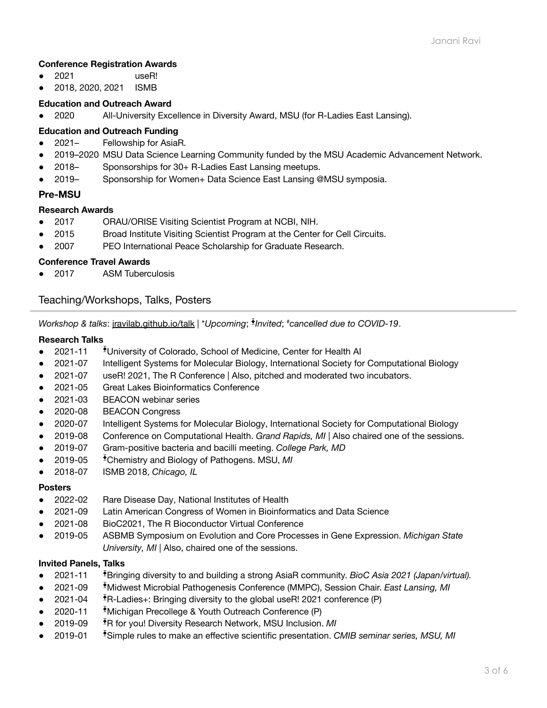# **Conference Registration Awards**

- 2021 useR!
- 2018, 2020, 2021 ISMB

# **Education and Outreach Award**

● 2020 All-University Excellence in Diversity Award, MSU (for R-Ladies East Lansing).

# **Education and Outreach Funding**

- 2021– Fellowship for AsiaR.
- 2019–2020 MSU Data Science Learning Community funded by the MSU Academic Advancement Network.
- 2018 Sponsorships for 30+ R-Ladies East Lansing meetups.
- 2019– Sponsorship for Women+ Data Science East Lansing @MSU symposia.

# **Pre-MSU**

### **Research Awards**

- 2017 ORAU/ORISE Visiting Scientist Program at NCBI, NIH.
- 2015 Broad Institute Visiting Scientist Program at the Center for Cell Circuits.
- 2007 PEO International Peace Scholarship for Graduate Research.

### **Conference Travel Awards**

● 2017 ASM Tuberculosis

# Teaching/Workshops, Talks, Posters

*Workshop & talks*: [jravilab.github.io/talk](https://jravilab.github.io/talk/) | \**Upcoming*; ⧱ *Invited*; *#cancelled due to COVID-19*.

### **Research Talks**

- 2021-11 <sup>⧱</sup>University of Colorado, School of Medicine, Center for Health AI
- 2021-07 Intelligent Systems for Molecular Biology, International Society for Computational Biology
- 2021-07 useR! 2021, The R Conference | Also, pitched and moderated two incubators.
- 2021-05 Great Lakes Bioinformatics Conference
- 2021-03 BEACON webinar series
- 2020-08 BEACON Congress
- 2020-07 Intelligent Systems for Molecular Biology, International Society for Computational Biology
- 2019-08 Conference on Computational Health. *Grand Rapids, MI* | Also chaired one of the sessions.
- 2019-07 Gram-positive bacteria and bacilli meeting. *College Park, MD*
- 2019-05 <sup>⧱</sup>Chemistry and Biology of Pathogens. MSU, *MI*
- 2018-07 ISMB 2018, *Chicago, IL*

## **Posters**

- 2022-02 Rare Disease Day, National Institutes of Health
- 2021-09 Latin American Congress of Women in Bioinformatics and Data Science
- 2021-08 BioC2021, The R Bioconductor Virtual Conference
- 2019-05 ASBMB Symposium on Evolution and Core Processes in Gene Expression. *Michigan State University, MI* | Also, chaired one of the sessions.

#### **Invited Panels, Talks**

- 2021-11 <sup>⧱</sup>Bringing diversity to and building a strong AsiaR community. *BioC Asia 2021 (Japan/virtual).*
- 2021-09 <sup>⧱</sup>Midwest Microbial Pathogenesis Conference (MMPC), Session Chair. *East Lansing, MI*
- 2021-04 <sup>⧱</sup>R-Ladies+: Bringing diversity to the global useR! 2021 conference (P)
- 2020-11 <sup>⧱</sup>Michigan Precollege & Youth Outreach Conference (P)
- 2019-09 <sup>⧱</sup>R for you! Diversity Research Network, MSU Inclusion. *MI*
- 2019-01 <sup>⧱</sup>Simple rules to make an effective scientific presentation. *CMIB seminar series, MSU, MI*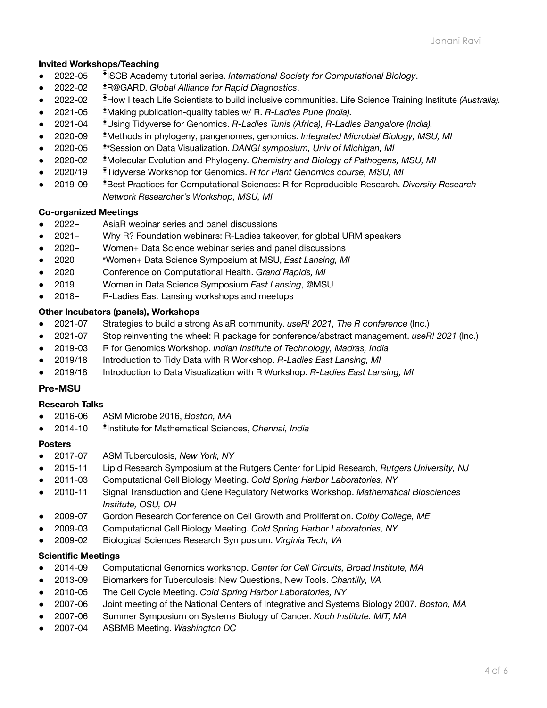# **Invited Workshops/Teaching**

- 2022-05 ⧱ ISCB Academy tutorial series. *International Society for Computational Biology*.
- 2022-02 <sup>⧱</sup>R@GARD. *Global Alliance for Rapid Diagnostics*.
- 2022-02 <sup>⧱</sup>How I teach Life Scientists to build inclusive communities. Life Science Training Institute *(Australia).*
- 2021-05 <sup>⧱</sup>Making publication-quality tables w/ R. *R-Ladies Pune (India).*
- 2021-04 <sup>⧱</sup>Using Tidyverse for Genomics. *R-Ladies Tunis (Africa), R-Ladies Bangalore (India).*
- 2020-09 <sup>⧱</sup>Methods in phylogeny, pangenomes, genomics. *Integrated Microbial Biology, MSU, MI*
- 2020-05 <sup>⧱</sup>#Session on Data Visualization. *DANG! symposium, Univ of Michigan, MI*
- 2020-02 <sup>⧱</sup>Molecular Evolution and Phylogeny. *Chemistry and Biology of Pathogens, MSU, MI*
- *●* 2020/19 <sup>⧱</sup>Tidyverse Workshop for Genomics. *R for Plant Genomics course, MSU, MI*
- 2019-09 <sup>⧱</sup>Best Practices for Computational Sciences: R for Reproducible Research. *Diversity Research Network Researcher's Workshop, MSU, MI*

## **Co-organized Meetings**

- 2022– AsiaR webinar series and panel discussions
- 2021– Why R? Foundation webinars: R-Ladies takeover, for global URM speakers
- 2020– Women+ Data Science webinar series and panel discussions
- 2020 #Women+ Data Science Symposium at MSU, *East Lansing, MI*
- 2020 Conference on Computational Health. *Grand Rapids, MI*
- 2019 Women in Data Science Symposium *East Lansing*, @MSU
- 2018– R-Ladies East Lansing workshops and meetups

### **Other Incubators (panels), Workshops**

- 2021-07 Strategies to build a strong AsiaR community. *useR! 2021, The R conference* (Inc.)
- 2021-07 Stop reinventing the wheel: R package for conference/abstract management. *useR! 2021* (Inc.)
- 2019-03 R for Genomics Workshop. *Indian Institute of Technology, Madras, India*
- 2019/18 Introduction to Tidy Data with R Workshop. *R-Ladies East Lansing, MI*
- 2019/18 Introduction to Data Visualization with R Workshop. *R-Ladies East Lansing, MI*

# **Pre-MSU**

# **Research Talks**

- 2016-06 ASM Microbe 2016, *Boston, MA*
- 2014-10 ⧱ Institute for Mathematical Sciences, *Chennai, India*

#### **Posters**

- 2017-07 ASM Tuberculosis, *New York, NY*
- 2015-11 Lipid Research Symposium at the Rutgers Center for Lipid Research, *Rutgers University, NJ*
- 2011-03 Computational Cell Biology Meeting. *Cold Spring Harbor Laboratories, NY*
- 2010-11 Signal Transduction and Gene Regulatory Networks Workshop. *Mathematical Biosciences Institute, OSU, OH*
- 2009-07 Gordon Research Conference on Cell Growth and Proliferation. *Colby College, ME*
- 2009-03 Computational Cell Biology Meeting. *Cold Spring Harbor Laboratories, NY*
- 2009-02 Biological Sciences Research Symposium. *Virginia Tech, VA*

# **Scientific Meetings**

- *●* 2014-09 Computational Genomics workshop. *Center for Cell Circuits, Broad Institute, MA*
- 2013-09 Biomarkers for Tuberculosis: New Questions, New Tools. *Chantilly, VA*
- 2010-05 The Cell Cycle Meeting. *Cold Spring Harbor Laboratories, NY*
- 2007-06 Joint meeting of the National Centers of Integrative and Systems Biology 2007. *Boston, MA*
- 2007-06 Summer Symposium on Systems Biology of Cancer. *Koch Institute. MIT, MA*
- 2007-04 ASBMB Meeting. *Washington DC*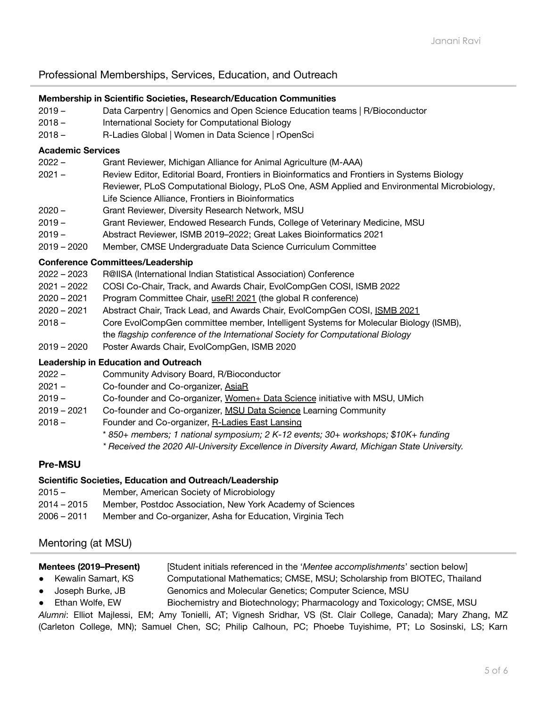# Professional Memberships, Services, Education, and Outreach

## **Membership in Scientific Societies, Research/Education Communities**

- 2019 Data Carpentry | Genomics and Open Science Education teams | R/Bioconductor
- 2018 International Society for Computational Biology
- 2018 R-Ladies Global | Women in Data Science | rOpenSci

#### **Academic Services**

- 2022 Grant Reviewer, Michigan Alliance for Animal Agriculture (M-AAA)
- 2021 Review Editor, Editorial Board, Frontiers in Bioinformatics and Frontiers in Systems Biology Reviewer, PLoS Computational Biology, PLoS One, ASM Applied and Environmental Microbiology, Life Science Alliance, Frontiers in Bioinformatics
- 2020 Grant Reviewer, Diversity Research Network, MSU
- 2019 Grant Reviewer, Endowed Research Funds, College of Veterinary Medicine, MSU
- 2019 Abstract Reviewer, ISMB 2019–2022; Great Lakes Bioinformatics 2021
- 2019 2020 Member, CMSE Undergraduate Data Science Curriculum Committee

### **Conference Committees/Leadership**

- 2022 2023 R@IISA (International Indian Statistical Association) Conference
- 2021 2022 COSI Co-Chair, Track, and Awards Chair, EvolCompGen COSI, ISMB 2022
- 2020 2021 Program Committee Chair, [useR!](https://user2021.r-project.org/about/global-team/) 2021 (the global R conference)
- 2020 2021 Abstract Chair, Track Lead, and Awards Chair, EvolCompGen COSI, [ISMB](https://www.iscb.org/ismbeccb2021-submit/abstracts) 2021
- 2018 Core EvolCompGen committee member, Intelligent Systems for Molecular Biology (ISMB),
	- the *flagship conference of the International Society for Computational Biology*
- 2019 2020 Poster Awards Chair, EvolCompGen, ISMB 2020

# **Leadership in Education and Outreach**

- 2022 Community Advisory Board, R/Bioconductor
- 2021 Co-founder and Co-organizer, [AsiaR](http://github.com/AsiaR_community)
- 2019 Co-founder and Co-organizer, [Women+](https://github.com/women-plus-datascience/) Data Science initiative with MSU, UMich
- 2019 2021 Co-founder and Co-organizer, MSU Data [Science](https://datascience.msu.edu) Learning Community
- 2018 Founder and Co-organizer, [R-Ladies](https://rladies-eastlansing.github.io/) East Lansing
	- \* *850+ members; 1 national symposium; 2 K-12 events; 30+ workshops; \$10K+ funding*
	- *\* Received the 2020 All-University Excellence in Diversity Award, Michigan State University.*

# **Pre-MSU**

# **Scientific Societies, Education and Outreach/Leadership**

- 2015 Member, American Society of Microbiology
- 2014 2015 Member, Postdoc Association, New York Academy of Sciences
- 2006 2011 Member and Co-organizer, Asha for Education, Virginia Tech

# Mentoring (at MSU)

# **Mentees (2019–Present)** [Student initials referenced in the '*Mentee accomplishments*' section below]

- Kewalin Samart, KS Computational Mathematics; CMSE, MSU; Scholarship from BIOTEC, Thailand ● Joseph Burke, JB Genomics and Molecular Genetics; Computer Science, MSU
- Ethan Wolfe, EW Biochemistry and Biotechnology; Pharmacology and Toxicology; CMSE, MSU

*Alumni*: Elliot Majlessi, EM; Amy Tonielli, AT; Vignesh Sridhar, VS (St. Clair College, Canada); Mary Zhang, MZ (Carleton College, MN); Samuel Chen, SC; Philip Calhoun, PC; Phoebe Tuyishime, PT; Lo Sosinski, LS; Karn